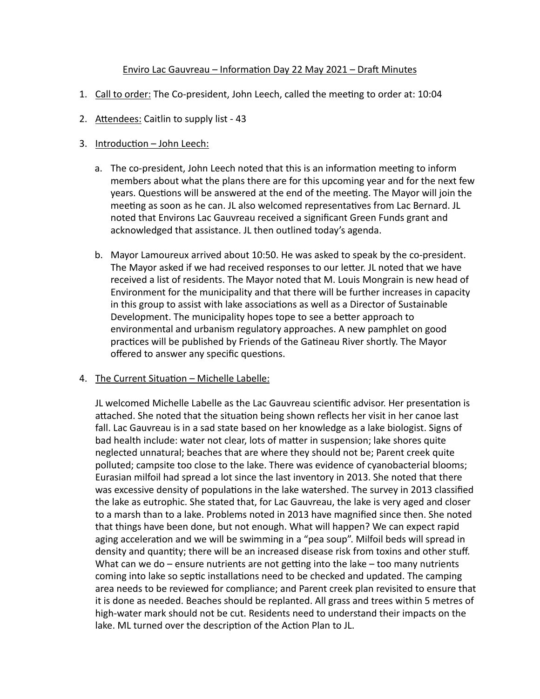### Enviro Lac Gauvreau – Information Day 22 May 2021 – Draft Minutes

- 1. Call to order: The Co-president, John Leech, called the meeting to order at: 10:04
- 2. Attendees: Caitlin to supply list 43

# 3. Introduction - John Leech:

- a. The co-president, John Leech noted that this is an information meeting to inform members about what the plans there are for this upcoming year and for the next few years. Questions will be answered at the end of the meeting. The Mayor will join the meeting as soon as he can. JL also welcomed representatives from Lac Bernard. JL noted that Environs Lac Gauvreau received a significant Green Funds grant and acknowledged that assistance. JL then outlined today's agenda.
- b. Mayor Lamoureux arrived about 10:50. He was asked to speak by the co-president. The Mayor asked if we had received responses to our letter. JL noted that we have received a list of residents. The Mayor noted that M. Louis Mongrain is new head of Environment for the municipality and that there will be further increases in capacity in this group to assist with lake associations as well as a Director of Sustainable Development. The municipality hopes tope to see a better approach to environmental and urbanism regulatory approaches. A new pamphlet on good practices will be published by Friends of the Gatineau River shortly. The Mayor offered to answer any specific questions.

## 4. The Current Situation - Michelle Labelle:

JL welcomed Michelle Labelle as the Lac Gauvreau scientific advisor. Her presentation is attached. She noted that the situation being shown reflects her visit in her canoe last fall. Lac Gauvreau is in a sad state based on her knowledge as a lake biologist. Signs of bad health include: water not clear, lots of matter in suspension; lake shores quite neglected unnatural; beaches that are where they should not be; Parent creek quite polluted; campsite too close to the lake. There was evidence of cyanobacterial blooms; Eurasian milfoil had spread a lot since the last inventory in 2013. She noted that there was excessive density of populations in the lake watershed. The survey in 2013 classified the lake as eutrophic. She stated that, for Lac Gauvreau, the lake is very aged and closer to a marsh than to a lake. Problems noted in 2013 have magnified since then. She noted that things have been done, but not enough. What will happen? We can expect rapid aging acceleration and we will be swimming in a "pea soup". Milfoil beds will spread in density and quantity; there will be an increased disease risk from toxins and other stuff. What can we do – ensure nutrients are not getting into the lake – too many nutrients coming into lake so septic installations need to be checked and updated. The camping area needs to be reviewed for compliance; and Parent creek plan revisited to ensure that it is done as needed. Beaches should be replanted. All grass and trees within 5 metres of high-water mark should not be cut. Residents need to understand their impacts on the lake. ML turned over the description of the Action Plan to JL.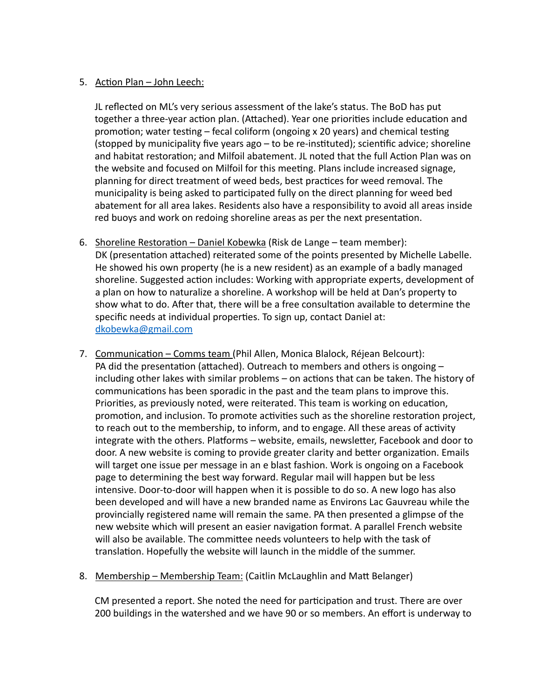# 5. Action Plan - John Leech:

JL reflected on ML's very serious assessment of the lake's status. The BoD has put together a three-year action plan. (Attached). Year one priorities include education and promotion; water testing  $-$  fecal coliform (ongoing x 20 years) and chemical testing (stopped by municipality five years  $ago - to$  be re-instituted); scientific advice; shoreline and habitat restoration; and Milfoil abatement. JL noted that the full Action Plan was on the website and focused on Milfoil for this meeting. Plans include increased signage, planning for direct treatment of weed beds, best practices for weed removal. The municipality is being asked to participated fully on the direct planning for weed bed abatement for all area lakes. Residents also have a responsibility to avoid all areas inside red buoys and work on redoing shoreline areas as per the next presentation.

- 6. Shoreline Restoration Daniel Kobewka (Risk de Lange team member): DK (presentation attached) reiterated some of the points presented by Michelle Labelle. He showed his own property (he is a new resident) as an example of a badly managed shoreline. Suggested action includes: Working with appropriate experts, development of a plan on how to naturalize a shoreline. A workshop will be held at Dan's property to show what to do. After that, there will be a free consultation available to determine the specific needs at individual properties. To sign up, contact Daniel at: [dkobewka@gmail.com](mailto:dkobewka@gmail.com)
- 7. Communication Comms team (Phil Allen, Monica Blalock, Réjean Belcourt): PA did the presentation (attached). Outreach to members and others is ongoing  $$ including other lakes with similar problems - on actions that can be taken. The history of communications has been sporadic in the past and the team plans to improve this. Priorities, as previously noted, were reiterated. This team is working on education, promotion, and inclusion. To promote activities such as the shoreline restoration project, to reach out to the membership, to inform, and to engage. All these areas of activity integrate with the others. Platforms – website, emails, newsletter, Facebook and door to door. A new website is coming to provide greater clarity and better organization. Emails will target one issue per message in an e blast fashion. Work is ongoing on a Facebook page to determining the best way forward. Regular mail will happen but be less intensive. Door-to-door will happen when it is possible to do so. A new logo has also been developed and will have a new branded name as Environs Lac Gauvreau while the provincially registered name will remain the same. PA then presented a glimpse of the new website which will present an easier navigation format. A parallel French website will also be available. The committee needs volunteers to help with the task of translation. Hopefully the website will launch in the middle of the summer.
- 8. Membership Membership Team: (Caitlin McLaughlin and Matt Belanger)

CM presented a report. She noted the need for participation and trust. There are over 200 buildings in the watershed and we have 90 or so members. An effort is underway to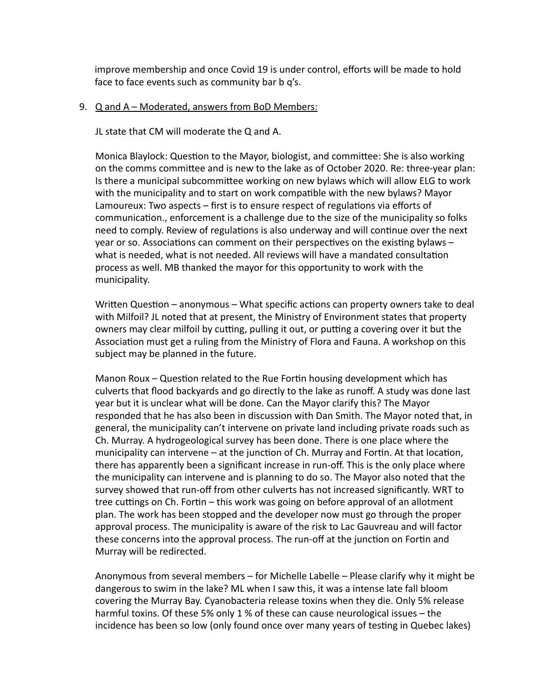improve membership and once Covid 19 is under control, efforts will be made to hold face to face events such as community bar b q's.

### 9. Q and A – Moderated, answers from BoD Members:

JL state that CM will moderate the Q and A.

Monica Blaylock: Question to the Mayor, biologist, and committee: She is also working on the comms committee and is new to the lake as of October 2020. Re: three-year plan: Is there a municipal subcommittee working on new bylaws which will allow ELG to work with the municipality and to start on work compatible with the new bylaws? Mayor Lamoureux: Two aspects  $-$  first is to ensure respect of regulations via efforts of communication., enforcement is a challenge due to the size of the municipality so folks need to comply. Review of regulations is also underway and will continue over the next year or so. Associations can comment on their perspectives on the existing bylaws – what is needed, what is not needed. All reviews will have a mandated consultation process as well. MB thanked the mayor for this opportunity to work with the municipality.

Written Question – anonymous – What specific actions can property owners take to deal with Milfoil? JL noted that at present, the Ministry of Environment states that property owners may clear milfoil by cutting, pulling it out, or putting a covering over it but the Association must get a ruling from the Ministry of Flora and Fauna. A workshop on this subject may be planned in the future.

Manon Roux - Question related to the Rue Fortin housing development which has culverts that flood backyards and go directly to the lake as runoff. A study was done last year but it is unclear what will be done. Can the Mayor clarify this? The Mayor responded that he has also been in discussion with Dan Smith. The Mayor noted that, in general, the municipality can't intervene on private land including private roads such as Ch. Murray. A hydrogeological survey has been done. There is one place where the municipality can intervene – at the junction of Ch. Murray and Fortin. At that location, there has apparently been a significant increase in run-off. This is the only place where the municipality can intervene and is planning to do so. The Mayor also noted that the survey showed that run-off from other culverts has not increased significantly. WRT to tree cuttings on Ch. Fortin – this work was going on before approval of an allotment plan. The work has been stopped and the developer now must go through the proper approval process. The municipality is aware of the risk to Lac Gauvreau and will factor these concerns into the approval process. The run-off at the junction on Fortin and Murray will be redirected.

Anonymous from several members – for Michelle Labelle – Please clarify why it might be dangerous to swim in the lake? ML when I saw this, it was a intense late fall bloom covering the Murray Bay. Cyanobacteria release toxins when they die. Only 5% release harmful toxins. Of these 5% only 1 % of these can cause neurological issues – the incidence has been so low (only found once over many years of testing in Quebec lakes)